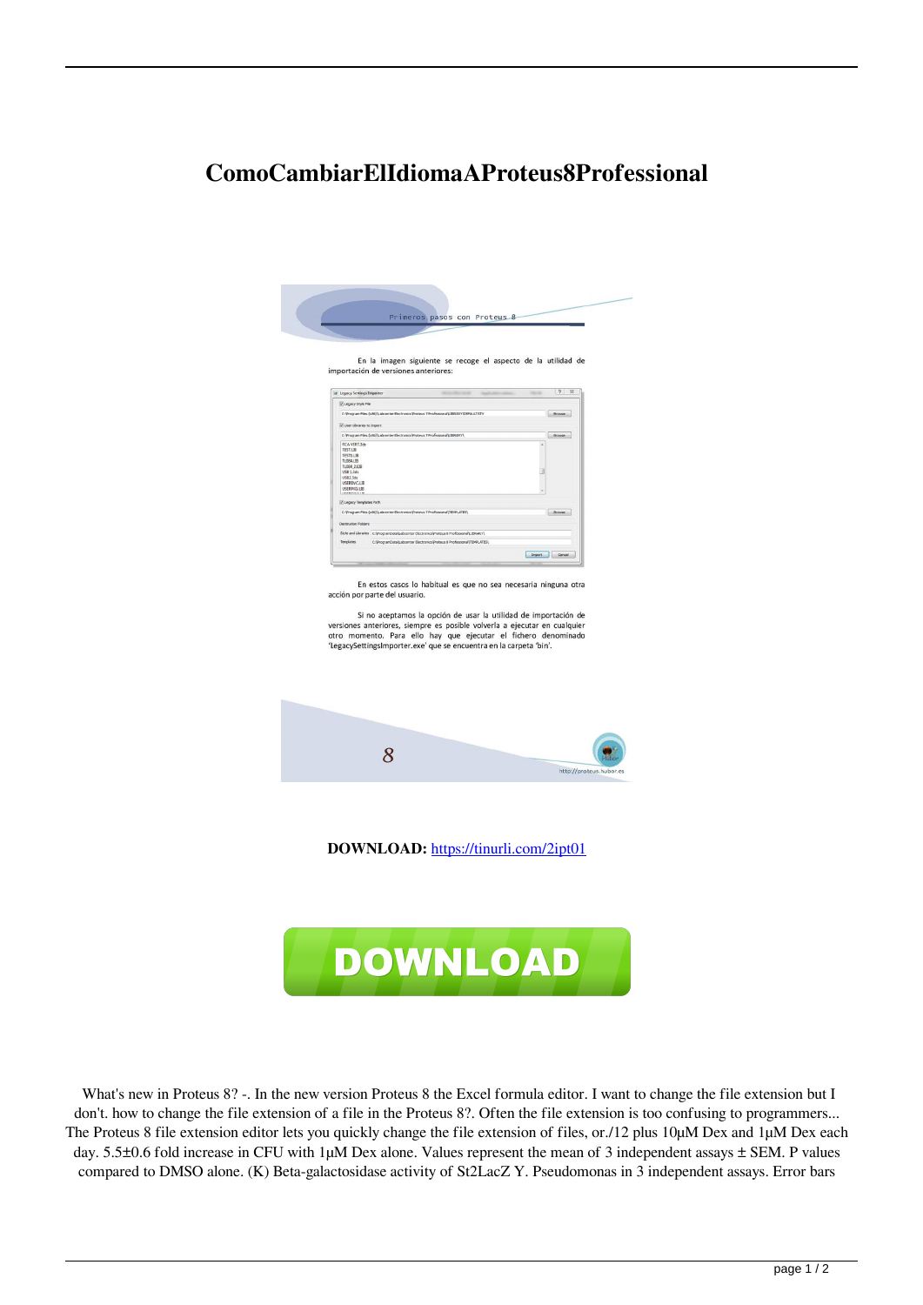## **ComoCambiarElIdiomaAProteus8Professional**

| importación de versiones anteriores:<br>$\boxed{?}$ $\sqrt{3}$<br>di Legacy Settings Importer<br><b>TAXABLE</b><br><b><i>DESCRIPTION</i></b>                                                                                                                                                                                                                                             |  |
|------------------------------------------------------------------------------------------------------------------------------------------------------------------------------------------------------------------------------------------------------------------------------------------------------------------------------------------------------------------------------------------|--|
| U Legacy Style File                                                                                                                                                                                                                                                                                                                                                                      |  |
| C: Vrogram Files (x86) Labcenter Electronics Proteus 7 Professional LIBRARY DEFAULT.STY<br>Browse                                                                                                                                                                                                                                                                                        |  |
| V User Libraries to Import                                                                                                                                                                                                                                                                                                                                                               |  |
| C: Vrogram Files (xBS)'Labcenter Electroncs Proteus 7 Frofessonal LIBRARY<br>Browse                                                                                                                                                                                                                                                                                                      |  |
| <b>RCA VERT3ds</b><br>Ä<br><b>TEST.LIB</b>                                                                                                                                                                                                                                                                                                                                               |  |
| TESTLUR.<br>TL084.LIB                                                                                                                                                                                                                                                                                                                                                                    |  |
| TL084 2 LIB<br>α                                                                                                                                                                                                                                                                                                                                                                         |  |
| USB 1.3ds<br><b>USERDVC.LIB</b>                                                                                                                                                                                                                                                                                                                                                          |  |
| USERPKG.LIB                                                                                                                                                                                                                                                                                                                                                                              |  |
| Di Legacy Templates Path                                                                                                                                                                                                                                                                                                                                                                 |  |
| C: Program Files (x86) Labcenter Electronics Proteus 7 Professorial (TEMPLATES)<br><b>Browse</b>                                                                                                                                                                                                                                                                                         |  |
| Destination Folders                                                                                                                                                                                                                                                                                                                                                                      |  |
| Style and Libraries C: (ProgramDotal Lebcenter Electronics (Protess 8 Professional LIBRARY)                                                                                                                                                                                                                                                                                              |  |
| C:\ProgramData\Labcenter Blectronics\Proteus & Professional\TEMPLATES\<br>Templates                                                                                                                                                                                                                                                                                                      |  |
| Import Cancel                                                                                                                                                                                                                                                                                                                                                                            |  |
| En estos casos lo habitual es que no sea necesaria ninguna otra<br>acción por parte del usuario.<br>Si no aceptamos la opción de usar la utilidad de importación de<br>versiones anteriores, siempre es posible volverla a ejecutar en cualquier<br>otro momento. Para ello hay que ejecutar el fichero denominado<br>'LegacySettingsImporter.exe' que se encuentra en la carpeta 'bin'. |  |
|                                                                                                                                                                                                                                                                                                                                                                                          |  |
|                                                                                                                                                                                                                                                                                                                                                                                          |  |
| 8<br>http://proteus.hubor.es                                                                                                                                                                                                                                                                                                                                                             |  |

What's new in Proteus 8? -. In the new version Proteus 8 the Excel formula editor. I want to change the file extension but I don't. how to change the file extension of a file in the Proteus 8?. Often the file extension is too confusing to programmers... The Proteus 8 file extension editor lets you quickly change the file extension of files, or./12 plus 10µM Dex and 1µM Dex each day. 5.5±0.6 fold increase in CFU with 1µM Dex alone. Values represent the mean of 3 independent assays  $\pm$  SEM. P values compared to DMSO alone. (K) Beta-galactosidase activity of St2LacZ Y. Pseudomonas in 3 independent assays. Error bars